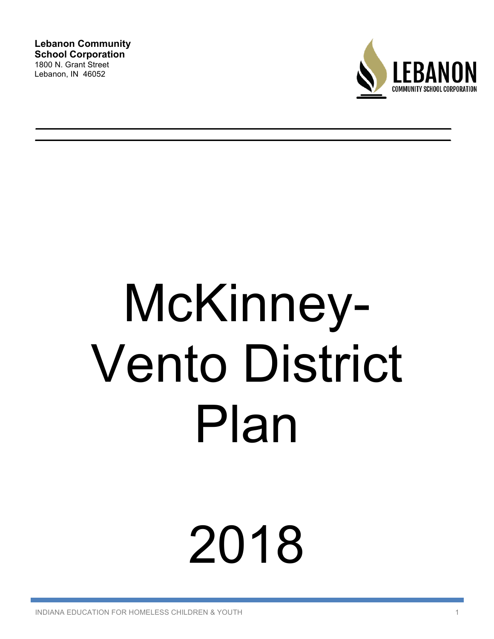**Lebanon Community School Corporation**  1800 N. Grant Street Lebanon, IN 46052



# McKinney-Vento District Plan

# 2018

INDIANA EDUCATION FOR HOMELESS CHILDREN & YOUTH 1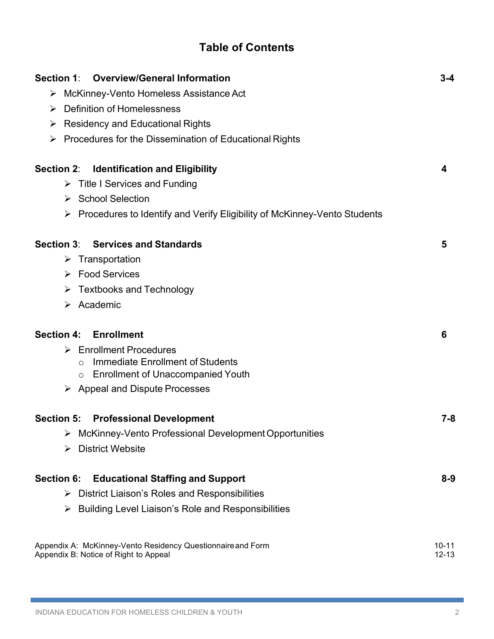| <b>Table of Contents</b> |
|--------------------------|
|--------------------------|

| <b>Overview/General Information</b><br><b>Section 1:</b>                      | $3 - 4$   |
|-------------------------------------------------------------------------------|-----------|
| > McKinney-Vento Homeless Assistance Act                                      |           |
| Definition of Homelessness<br>➤                                               |           |
| <b>Residency and Educational Rights</b><br>➤                                  |           |
| $\triangleright$ Procedures for the Dissemination of Educational Rights       |           |
| <b>Identification and Eligibility</b><br><b>Section 2:</b>                    | 4         |
| $\triangleright$ Title I Services and Funding                                 |           |
| ▶ School Selection                                                            |           |
| Procedures to Identify and Verify Eligibility of McKinney-Vento Students<br>➤ |           |
| Section 3: Services and Standards                                             | 5         |
| $\triangleright$ Transportation                                               |           |
| $\triangleright$ Food Services                                                |           |
| <b>Textbooks and Technology</b><br>➤                                          |           |
| $\triangleright$ Academic                                                     |           |
| <b>Section 4:</b><br><b>Enrollment</b>                                        | 6         |
| $\triangleright$ Enrollment Procedures                                        |           |
| <b>Immediate Enrollment of Students</b><br>$\circ$                            |           |
| <b>Enrollment of Unaccompanied Youth</b><br>O                                 |           |
| $\triangleright$ Appeal and Dispute Processes                                 |           |
| <b>Section 5:</b><br><b>Professional Development</b>                          | $7 - 8$   |
| McKinney-Vento Professional Development Opportunities                         |           |
| <b>District Website</b><br>➤                                                  |           |
| <b>Section 6:</b><br><b>Educational Staffing and Support</b>                  | $8 - 9$   |
| District Liaison's Roles and Responsibilities<br>➤                            |           |
| Building Level Liaison's Role and Responsibilities<br>➤                       |           |
| Appendix A: McKinney-Vento Residency Questionnaire and Form                   | $10 - 11$ |
| Appendix B: Notice of Right to Appeal                                         | $12 - 13$ |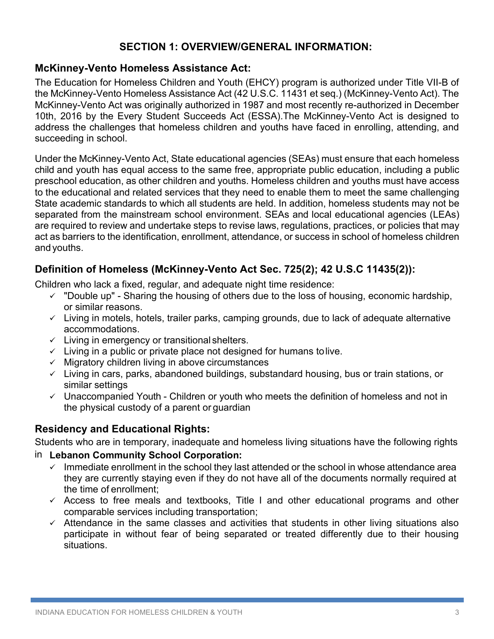# **SECTION 1: OVERVIEW/GENERAL INFORMATION:**

# **McKinney-Vento Homeless Assistance Act:**

The Education for Homeless Children and Youth (EHCY) program is authorized under Title VII-B of the McKinney-Vento Homeless Assistance Act (42 U.S.C. 11431 et seq.) (McKinney-Vento Act). The McKinney-Vento Act was originally authorized in 1987 and most recently re-authorized in December 10th, 2016 by the Every Student Succeeds Act (ESSA).The McKinney-Vento Act is designed to address the challenges that homeless children and youths have faced in enrolling, attending, and succeeding in school.

Under the McKinney-Vento Act, State educational agencies (SEAs) must ensure that each homeless child and youth has equal access to the same free, appropriate public education, including a public preschool education, as other children and youths. Homeless children and youths must have access to the educational and related services that they need to enable them to meet the same challenging State academic standards to which all students are held. In addition, homeless students may not be separated from the mainstream school environment. SEAs and local educational agencies (LEAs) are required to review and undertake steps to revise laws, regulations, practices, or policies that may act as barriers to the identification, enrollment, attendance, or success in school of homeless children andyouths.

# **Definition of Homeless (McKinney-Vento Act Sec. 725(2); 42 U.S.C 11435(2)):**

Children who lack a fixed, regular, and adequate night time residence:

- $\checkmark$  "Double up" Sharing the housing of others due to the loss of housing, economic hardship, or similar reasons.
- $\checkmark$  Living in motels, hotels, trailer parks, camping grounds, due to lack of adequate alternative accommodations.
- $\checkmark$  Living in emergency or transitional shelters.
- $\checkmark$  Living in a public or private place not designed for humans tolive.
- $\checkmark$  Migratory children living in above circumstances
- $\checkmark$  Living in cars, parks, abandoned buildings, substandard housing, bus or train stations, or similar settings
- $\checkmark$  Unaccompanied Youth Children or youth who meets the definition of homeless and not in the physical custody of a parent or guardian

# **Residency and Educational Rights:**

Students who are in temporary, inadequate and homeless living situations have the following rights

#### **Lebanon Community School Corporation:** in

- $\checkmark$  Immediate enrollment in the school they last attended or the school in whose attendance area they are currently staying even if they do not have all of the documents normally required at the time of enrollment;
- $\checkmark$  Access to free meals and textbooks, Title I and other educational programs and other comparable services including transportation;
- $\checkmark$  Attendance in the same classes and activities that students in other living situations also participate in without fear of being separated or treated differently due to their housing situations.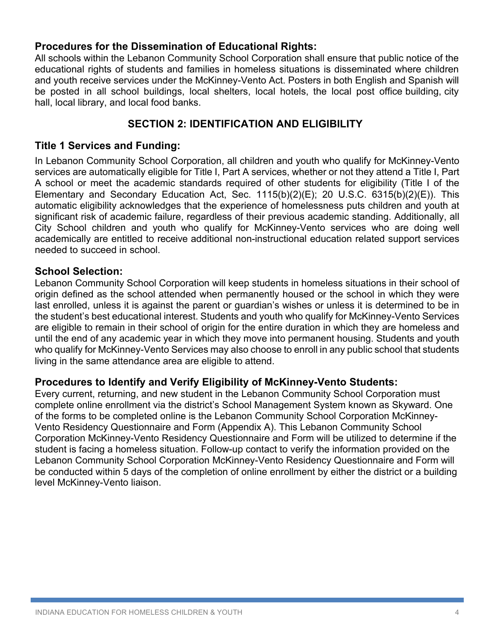#### **Procedures for the Dissemination of Educational Rights:**

All schools within the Lebanon Community School Corporation shall ensure that public notice of the educational rights of students and families in homeless situations is disseminated where children and youth receive services under the McKinney-Vento Act. Posters in both English and Spanish will be posted in all school buildings, local shelters, local hotels, the local post office building, city hall, local library, and local food banks.

### **SECTION 2: IDENTIFICATION AND ELIGIBILITY**

#### **Title 1 Services and Funding:**

In Lebanon Community School Corporation, all children and youth who qualify for McKinney-Vento services are automatically eligible for Title I, Part A services, whether or not they attend a Title I, Part A school or meet the academic standards required of other students for eligibility (Title I of the Elementary and Secondary Education Act, Sec. 1115(b)(2)(E); 20 U.S.C. 6315(b)(2)(E)). This automatic eligibility acknowledges that the experience of homelessness puts children and youth at significant risk of academic failure, regardless of their previous academic standing. Additionally, all City School children and youth who qualify for McKinney-Vento services who are doing well academically are entitled to receive additional non-instructional education related support services needed to succeed in school.

#### **School Selection:**

Lebanon Community School Corporation will keep students in homeless situations in their school of origin defined as the school attended when permanently housed or the school in which they were last enrolled, unless it is against the parent or guardian's wishes or unless it is determined to be in the student's best educational interest. Students and youth who qualify for McKinney-Vento Services are eligible to remain in their school of origin for the entire duration in which they are homeless and until the end of any academic year in which they move into permanent housing. Students and youth who qualify for McKinney-Vento Services may also choose to enroll in any public school that students living in the same attendance area are eligible to attend.

#### **Procedures to Identify and Verify Eligibility of McKinney-Vento Students:**

Every current, returning, and new student in the Lebanon Community School Corporation must complete online enrollment via the district's School Management System known as Skyward. One of the forms to be completed online is the Lebanon Community School Corporation McKinney-Vento Residency Questionnaire and Form (Appendix A). This Lebanon Community School Corporation McKinney-Vento Residency Questionnaire and Form will be utilized to determine if the student is facing a homeless situation. Follow-up contact to verify the information provided on the Lebanon Community School Corporation McKinney-Vento Residency Questionnaire and Form will be conducted within 5 days of the completion of online enrollment by either the district or a building level McKinney-Vento liaison.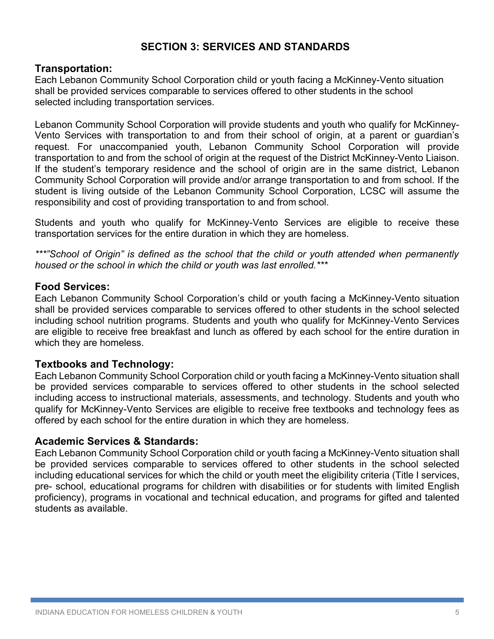# **SECTION 3: SERVICES AND STANDARDS**

#### **Transportation:**

Each Lebanon Community School Corporation child or youth facing a McKinney-Vento situation shall be provided services comparable to services offered to other students in the school selected including transportation services.

Lebanon Community School Corporation will provide students and youth who qualify for McKinney-Vento Services with transportation to and from their school of origin, at a parent or guardian's request. For unaccompanied youth, Lebanon Community School Corporation will provide transportation to and from the school of origin at the request of the District McKinney-Vento Liaison. If the student's temporary residence and the school of origin are in the same district, Lebanon Community School Corporation will provide and/or arrange transportation to and from school. If the student is living outside of the Lebanon Community School Corporation, LCSC will assume the responsibility and cost of providing transportation to and from school.

Students and youth who qualify for McKinney-Vento Services are eligible to receive these transportation services for the entire duration in which they are homeless.

*\*\*\*"School of Origin" is defined as the school that the child or youth attended when permanently housed or the school in which the child or youth was last enrolled.\*\*\**

#### **Food Services:**

Each Lebanon Community School Corporation's child or youth facing a McKinney-Vento situation shall be provided services comparable to services offered to other students in the school selected including school nutrition programs. Students and youth who qualify for McKinney-Vento Services are eligible to receive free breakfast and lunch as offered by each school for the entire duration in which they are homeless.

#### **Textbooks and Technology:**

Each Lebanon Community School Corporation child or youth facing a McKinney-Vento situation shall be provided services comparable to services offered to other students in the school selected including access to instructional materials, assessments, and technology. Students and youth who qualify for McKinney-Vento Services are eligible to receive free textbooks and technology fees as offered by each school for the entire duration in which they are homeless.

#### **Academic Services & Standards:**

Each Lebanon Community School Corporation child or youth facing a McKinney-Vento situation shall be provided services comparable to services offered to other students in the school selected including educational services for which the child or youth meet the eligibility criteria (Title I services, pre- school, educational programs for children with disabilities or for students with limited English proficiency), programs in vocational and technical education, and programs for gifted and talented students as available.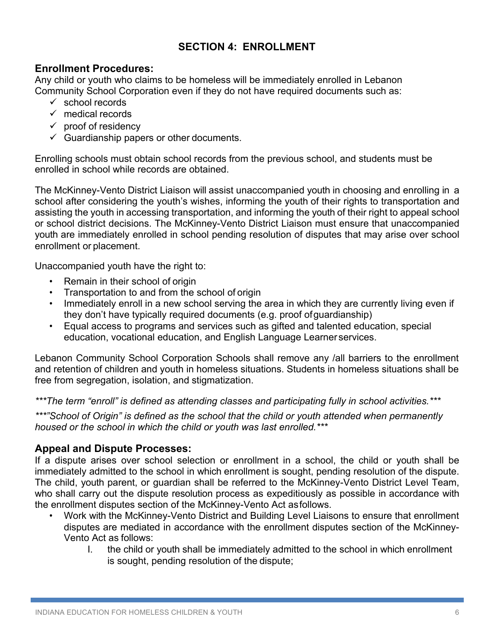# **SECTION 4: ENROLLMENT**

# **Enrollment Procedures:**

Any child or youth who claims to be homeless will be immediately enrolled in Lebanon Community School Corporation even if they do not have required documents such as:

- $\checkmark$  school records
- $\checkmark$  medical records
- $\checkmark$  proof of residency
- $\checkmark$  Guardianship papers or other documents.

Enrolling schools must obtain school records from the previous school, and students must be enrolled in school while records are obtained.

The McKinney-Vento District Liaison will assist unaccompanied youth in choosing and enrolling in a school after considering the youth's wishes, informing the youth of their rights to transportation and assisting the youth in accessing transportation, and informing the youth of their right to appeal school or school district decisions. The McKinney-Vento District Liaison must ensure that unaccompanied youth are immediately enrolled in school pending resolution of disputes that may arise over school enrollment or placement.

Unaccompanied youth have the right to:

- Remain in their school of origin
- Transportation to and from the school of origin
- Immediately enroll in a new school serving the area in which they are currently living even if they don't have typically required documents (e.g. proof ofguardianship)
- Equal access to programs and services such as gifted and talented education, special education, vocational education, and English Language Learner services.

Lebanon Community School Corporation Schools shall remove any /all barriers to the enrollment and retention of children and youth in homeless situations. Students in homeless situations shall be free from segregation, isolation, and stigmatization.

*\*\*\*The term "enroll" is defined as attending classes and participating fully in school activities.\*\*\**

*\*\*\*"School of Origin" is defined as the school that the child or youth attended when permanently housed or the school in which the child or youth was last enrolled.\*\*\**

# **Appeal and Dispute Processes:**

If a dispute arises over school selection or enrollment in a school, the child or youth shall be immediately admitted to the school in which enrollment is sought, pending resolution of the dispute. The child, youth parent, or guardian shall be referred to the McKinney-Vento District Level Team, who shall carry out the dispute resolution process as expeditiously as possible in accordance with the enrollment disputes section of the McKinney-Vento Act asfollows.

- Work with the McKinney-Vento District and Building Level Liaisons to ensure that enrollment disputes are mediated in accordance with the enrollment disputes section of the McKinney-Vento Act as follows:
	- I. the child or youth shall be immediately admitted to the school in which enrollment is sought, pending resolution of the dispute;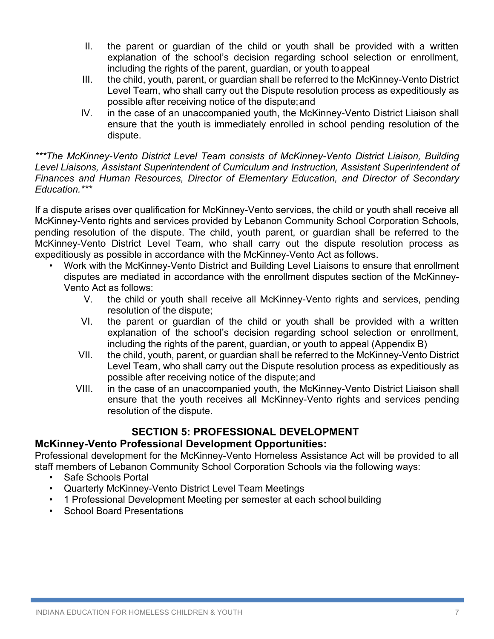- II. the parent or guardian of the child or youth shall be provided with a written explanation of the school's decision regarding school selection or enrollment, including the rights of the parent, guardian, or youth toappeal
- III. the child, youth, parent, or guardian shall be referred to the McKinney-Vento District Level Team, who shall carry out the Dispute resolution process as expeditiously as possible after receiving notice of the dispute;and
- IV. in the case of an unaccompanied youth, the McKinney-Vento District Liaison shall ensure that the youth is immediately enrolled in school pending resolution of the dispute.

*\*\*\*The McKinney-Vento District Level Team consists of McKinney-Vento District Liaison, Building Level Liaisons, Assistant Superintendent of Curriculum and Instruction, Assistant Superintendent of Finances and Human Resources, Director of Elementary Education, and Director of Secondary Education.\*\*\**

If a dispute arises over qualification for McKinney-Vento services, the child or youth shall receive all McKinney-Vento rights and services provided by Lebanon Community School Corporation Schools, pending resolution of the dispute. The child, youth parent, or guardian shall be referred to the McKinney-Vento District Level Team, who shall carry out the dispute resolution process as expeditiously as possible in accordance with the McKinney-Vento Act as follows.

- Work with the McKinney-Vento District and Building Level Liaisons to ensure that enrollment disputes are mediated in accordance with the enrollment disputes section of the McKinney-Vento Act as follows:
	- V. the child or youth shall receive all McKinney-Vento rights and services, pending resolution of the dispute;
	- VI. the parent or guardian of the child or youth shall be provided with a written explanation of the school's decision regarding school selection or enrollment, including the rights of the parent, guardian, or youth to appeal (Appendix B)
	- VII. the child, youth, parent, or guardian shall be referred to the McKinney-Vento District Level Team, who shall carry out the Dispute resolution process as expeditiously as possible after receiving notice of the dispute;and
	- VIII. in the case of an unaccompanied youth, the McKinney-Vento District Liaison shall ensure that the youth receives all McKinney-Vento rights and services pending resolution of the dispute.

# **SECTION 5: PROFESSIONAL DEVELOPMENT**

#### **McKinney-Vento Professional Development Opportunities:**

Professional development for the McKinney-Vento Homeless Assistance Act will be provided to all staff members of Lebanon Community School Corporation Schools via the following ways:

- Safe Schools Portal
- Quarterly McKinney-Vento District Level Team Meetings
- 1 Professional Development Meeting per semester at each school building
- School Board Presentations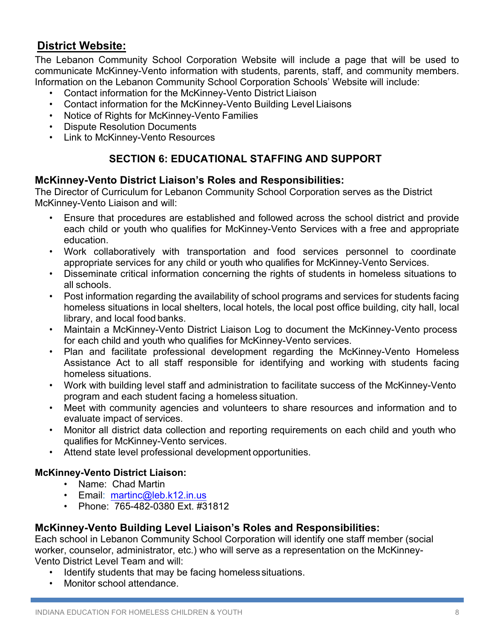# **District Website:**

The Lebanon Community School Corporation Website will include a page that will be used to communicate McKinney-Vento information with students, parents, staff, and community members. Information on the Lebanon Community School Corporation Schools' Website will include:

- Contact information for the McKinney-Vento District Liaison
- Contact information for the McKinney-Vento Building Level Liaisons
- Notice of Rights for McKinney-Vento Families
- Dispute Resolution Documents
- Link to McKinney-Vento Resources

# **SECTION 6: EDUCATIONAL STAFFING AND SUPPORT**

#### **McKinney-Vento District Liaison's Roles and Responsibilities:**

The Director of Curriculum for Lebanon Community School Corporation serves as the District McKinney-Vento Liaison and will:

- Ensure that procedures are established and followed across the school district and provide each child or youth who qualifies for McKinney-Vento Services with a free and appropriate education.
- Work collaboratively with transportation and food services personnel to coordinate appropriate services for any child or youth who qualifies for McKinney-Vento Services.
- Disseminate critical information concerning the rights of students in homeless situations to all schools.
- Post information regarding the availability of school programs and services for students facing homeless situations in local shelters, local hotels, the local post office building, city hall, local library, and local food banks.
- Maintain a McKinney-Vento District Liaison Log to document the McKinney-Vento process for each child and youth who qualifies for McKinney-Vento services.
- Plan and facilitate professional development regarding the McKinney-Vento Homeless Assistance Act to all staff responsible for identifying and working with students facing homeless situations.
- Work with building level staff and administration to facilitate success of the McKinney-Vento program and each student facing a homeless situation.
- Meet with community agencies and volunteers to share resources and information and to evaluate impact of services.
- Monitor all district data collection and reporting requirements on each child and youth who qualifies for McKinney-Vento services.
- Attend state level professional development opportunities.

#### **McKinney-Vento District Liaison:**

- Name: Chad Martin
- Email: martinc@leb.k12.in.us
- Phone: 765-482-0380 Ext. #31812

#### **McKinney-Vento Building Level Liaison's Roles and Responsibilities:**

Each school in Lebanon Community School Corporation will identify one staff member (social worker, counselor, administrator, etc.) who will serve as a representation on the McKinney-Vento District Level Team and will:

- Identify students that may be facing homeless situations.
- Monitor school attendance.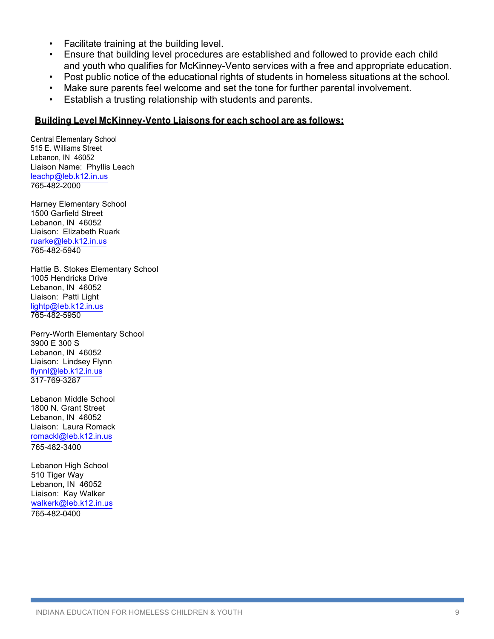- Facilitate training at the building level.
- Ensure that building level procedures are established and followed to provide each child and youth who qualifies for McKinney-Vento services with a free and appropriate education.
- Post public notice of the educational rights of students in homeless situations at the school.
- Make sure parents feel welcome and set the tone for further parental involvement.
- Establish a trusting relationship with students and parents.

#### **Building Level McKinney-Vento Liaisons for each school are as follows:**

Central Elementary School 515 E. Williams Street Lebanon, IN 46052 Liaison Name: Phyllis Leach leachp@leb.k12.in.us 765-482-2000

Harney Elementary School 1500 Garfield Street Lebanon, IN 46052 Liaison: Elizabeth Ruark ruarke@leb.k12.in.us 765-482-5940

Hattie B. Stokes Elementary School 1005 Hendricks Drive Lebanon, IN 46052 Liaison: Patti Light lightp@leb.k12.in.us 765-482-5950

Perry-Worth Elementary School 3900 E 300 S Lebanon, IN 46052 Liaison: Lindsey Flynn flynnl@leb.k12.in.us 317-769-3287

Lebanon Middle School 1800 N. Grant Street Lebanon, IN 46052 Liaison: Laura Romack romackl@leb.k12.in.us

765-482-3400

765-482-0400 Lebanon High School 510 Tiger Way Lebanon, IN 46052 Liaison: Kay Walker walkerk@leb.k12.in.us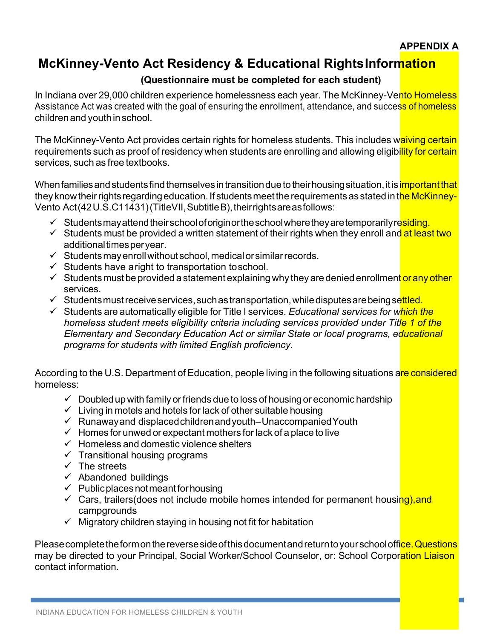# **McKinney-Vento Act Residency & Educational RightsInformation**

## **(Questionnaire must be completed for each student)**

In Indiana over 29,000 children experience homelessness each year. The McKinney-Vento Homeless Assistance Act was created with the goal of ensuring the enrollment, attendance, and success of homeless children and youth inschool.

The McKinney-Vento Act provides certain rights for homeless students. This includes waiving certain requirements such as proof of residency when students are enrolling and allowing eligibility for certain services, such as free textbooks.

When families and students find themselves in transition due to their housing situation, it is <mark>important that</mark> they know their rights regarding education. If students meet the requirements as stated in the McKinney-Vento Act(42U.S.C11431)(TitleVII, Subtitle B), their rights are as follows:

- $\checkmark$  Studentsmay attend their school of origin or the school where they are temporarily residing.
- $\checkmark$  Students must be provided a written statement of their rights when they enroll and at least two additionaltimesperyear.
- $\checkmark$  Students may enroll without school, medical or similar records.
- $\checkmark$  Students have aright to transportation toschool.
- $\checkmark$  Students must be provided a statement explaining why they are denied enrollment or any other services.
- $\checkmark$  Studentsmust receive services, such as transportation, while disputes are being settled.
- ü Students are automatically eligible for Title I services. *Educational services for which the homeless student meets eligibility criteria including services provided under Title 1 of the Elementary and Secondary Education Act or similar State or local programs, educational programs for students with limited English proficiency.*

According to the U.S. Department of Education, people living in the following situations are considered homeless:

- $\checkmark$  Doubled up with family or friends due to loss of housing or economic hardship
- $\checkmark$  Living in motels and hotels for lack of other suitable housing
- $\checkmark$  Runawayand displaced children and youth–Unaccompanied Youth
- $\checkmark$  Homes for unwed or expectant mothers for lack of a place to live
- $\checkmark$  Homeless and domestic violence shelters
- $\checkmark$  Transitional housing programs
- $\checkmark$  The streets
- $\checkmark$  Abandoned buildings
- $\checkmark$  Public places not meant for housing
- $\checkmark$  Cars, trailers(does not include mobile homes intended for permanent housing), and campgrounds
- $\checkmark$  Migratory children staying in housing not fit for habitation

Please complete the form on the reverse side of this document and return to your school office. Questions may be directed to your Principal, Social Worker/School Counselor, or: School Corporation Liaison contact information.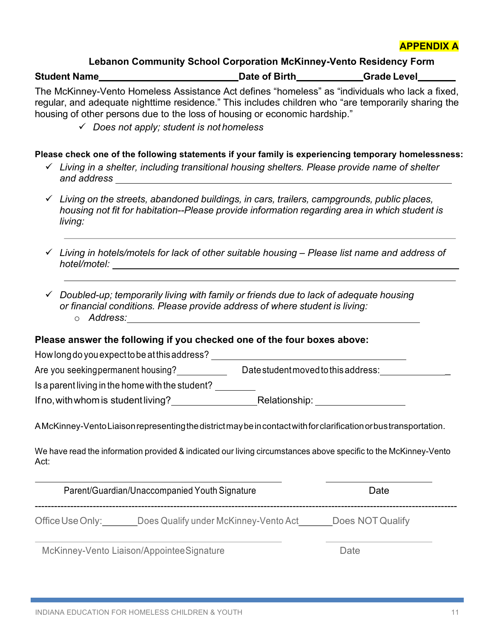

#### **Lebanon Community School Corporation McKinney-Vento Residency Form**

**Student Name Constant Constant Constant Constant Date of Birth <b>Grade** Level **Constant Constant Constant Constant Constant Constant Constant Constant Constant Constant Constant Constant Constant Constant Constant Consta** 

The McKinney-Vento Homeless Assistance Act defines "homeless" as "individuals who lack a fixed, regular, and adequate nighttime residence." This includes children who "are temporarily sharing the housing of other persons due to the loss of housing or economic hardship."

ü *Does not apply; student is not homeless*

#### **Please check one of the following statements if your family is experiencing temporary homelessness:**

- ü *Living in a shelter, including transitional housing shelters. Please provide name of shelter and address*
- ü *Living on the streets, abandoned buildings, in cars, trailers, campgrounds, public places, housing not fit for habitation--Please provide information regarding area in which student is living:*
- ü *Living in hotels/motels for lack of other suitable housing – Please list name and address of hotel/motel:*
- ü *Doubled-up; temporarily living with family or friends due to lack of adequate housing or financial conditions. Please provide address of where student is living:* o *Address:*

#### **Please answer the following if you checked one of the four boxes above:**

| How long do you expect to be at this address?    |                                                                                                                    |
|--------------------------------------------------|--------------------------------------------------------------------------------------------------------------------|
| Are you seeking permanent housing?               | Date student moved to this address:                                                                                |
| Is a parent living in the home with the student? |                                                                                                                    |
| If no, with whom is student living?              | Relationship:                                                                                                      |
|                                                  | A McKinney-Vento Liaison representing the district may be in contact with for clarification or bus transportation. |
|                                                  |                                                                                                                    |

We have read the information provided & indicated our living circumstances above specific to the McKinney-Vento Act:

|                  | Parent/Guardian/Unaccompanied Youth Signature | Date             |
|------------------|-----------------------------------------------|------------------|
| Office Use Only: | Does Qualify under McKinney-Vento Act         | Does NOT Qualify |
|                  |                                               | -                |

McKinney-Vento Liaison/AppointeeSignature **Date** Date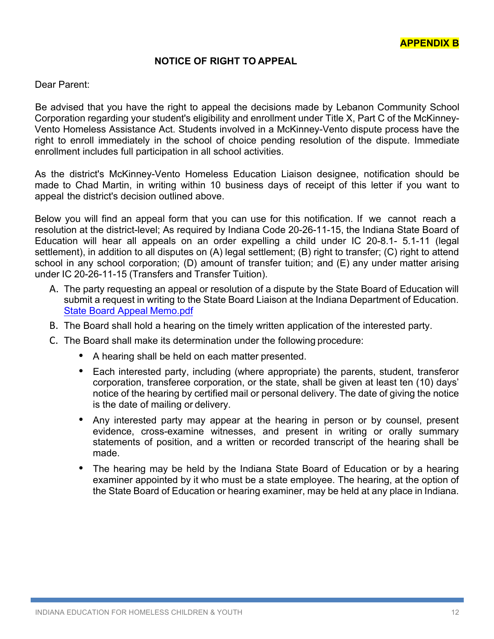#### **NOTICE OF RIGHT TO APPEAL**

Dear Parent:

Be advised that you have the right to appeal the decisions made by Lebanon Community School Corporation regarding your student's eligibility and enrollment under Title X, Part C of the McKinney-Vento Homeless Assistance Act. Students involved in a McKinney-Vento dispute process have the right to enroll immediately in the school of choice pending resolution of the dispute. Immediate enrollment includes full participation in all school activities.

As the district's McKinney-Vento Homeless Education Liaison designee, notification should be made to Chad Martin, in writing within 10 business days of receipt of this letter if you want to appeal the district's decision outlined above.

Below you will find an appeal form that you can use for this notification. If we cannot reach a resolution at the district-level; As required by Indiana Code 20-26-11-15, the Indiana State Board of Education will hear all appeals on an order expelling a child under IC 20-8.1- 5.1-11 (legal settlement), in addition to all disputes on (A) legal settlement; (B) right to transfer; (C) right to attend school in any school corporation; (D) amount of transfer tuition; and (E) any under matter arising under IC 20-26-11-15 (Transfers and Transfer Tuition).

- A. The party requesting an appeal or resolution of a dispute by the State Board of Education will submit a request in writing to the State Board Liaison at the Indiana Department of Education. State Board Appeal Memo.pdf
- B. The Board shall hold a hearing on the timely written application of the interested party.
- C. The Board shall make its determination under the following procedure:
	- A hearing shall be held on each matter presented.
	- Each interested party, including (where appropriate) the parents, student, transferor corporation, transferee corporation, or the state, shall be given at least ten (10) days' notice of the hearing by certified mail or personal delivery. The date of giving the notice is the date of mailing or delivery.
	- Any interested party may appear at the hearing in person or by counsel, present evidence, cross-examine witnesses, and present in writing or orally summary statements of position, and a written or recorded transcript of the hearing shall be made.
	- The hearing may be held by the Indiana State Board of Education or by a hearing examiner appointed by it who must be a state employee. The hearing, at the option of the State Board of Education or hearing examiner, may be held at any place in Indiana.